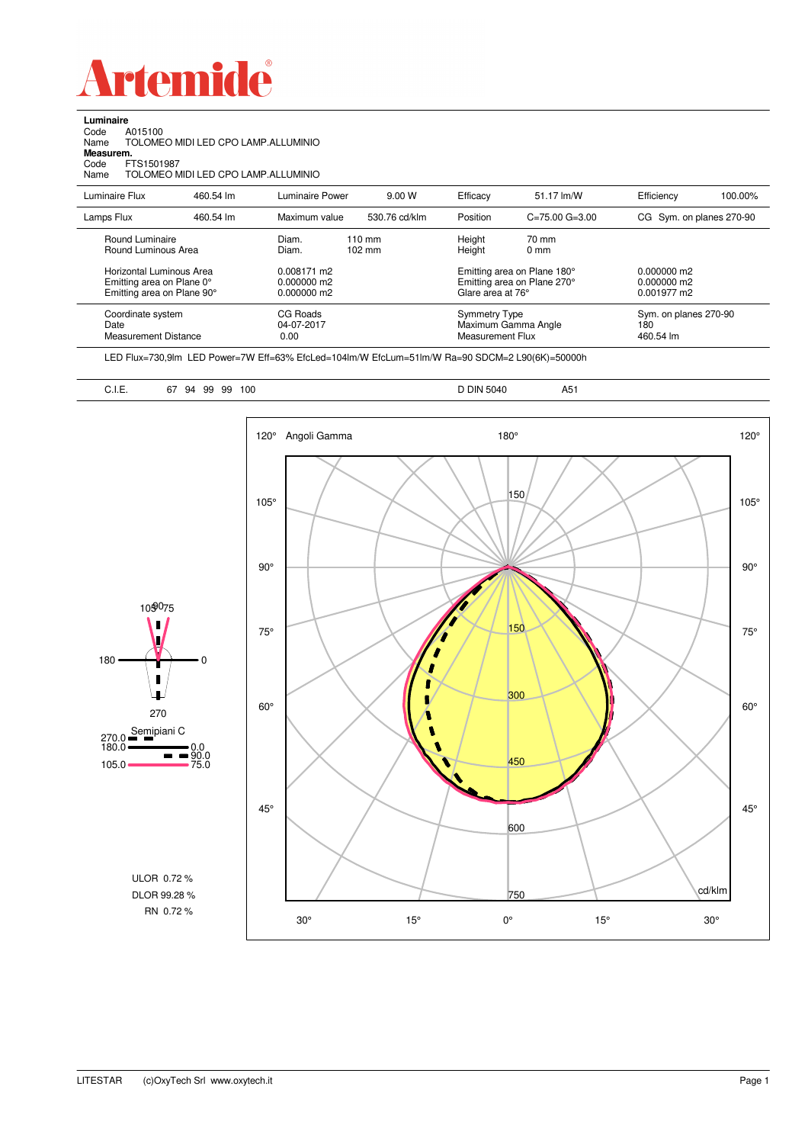

**Luminaire**<br>Code *A*<br>Name T Code A015100 Name TOLOMEO MIDI LED CPO LAMP.ALLUMINIO

**Measurem.**

Code FTS1501987 Name TOLOMEO MIDI LED CPO LAMP.ALLUMINIO

| Luminaire Flux                                                                                                                | 460.54 lm | Luminaire Power                                                 | 9.00 W                               | Efficacy                              | 51.17 lm/W                                                                            | Efficiency                                      | 100.00%               |
|-------------------------------------------------------------------------------------------------------------------------------|-----------|-----------------------------------------------------------------|--------------------------------------|---------------------------------------|---------------------------------------------------------------------------------------|-------------------------------------------------|-----------------------|
| Lamps Flux                                                                                                                    | 460.54 lm | Maximum value                                                   | 530.76 cd/klm                        | Position                              | $C = 75.00$ $G = 3.00$                                                                | CG Sym. on planes 270-90                        |                       |
| Round Luminaire<br>Round Luminous Area<br>Horizontal Luminous Area<br>Emitting area on Plane 0°<br>Emitting area on Plane 90° |           | Diam.<br>Diam.<br>0.008171 m2<br>$0.000000$ m2<br>$0.000000$ m2 | $110 \text{ mm}$<br>$102 \text{ mm}$ | Height<br>Height<br>Glare area at 76° | 70 mm<br>$0 \text{ mm}$<br>Emitting area on Plane 180°<br>Emitting area on Plane 270° | $0.000000$ m2<br>$0.000000$ m2<br>$0.001977$ m2 |                       |
| Coordinate system<br>Date<br>Measurement Distance                                                                             |           | CG Roads<br>04-07-2017<br>0.00                                  |                                      |                                       | Symmetry Type<br>Maximum Gamma Angle<br>Measurement Flux                              |                                                 | Sym. on planes 270-90 |

LED Flux=730,9lm LED Power=7W Eff=63% EfcLed=104lm/W EfcLum=51lm/W Ra=90 SDCM=2 L90(6K)=50000h